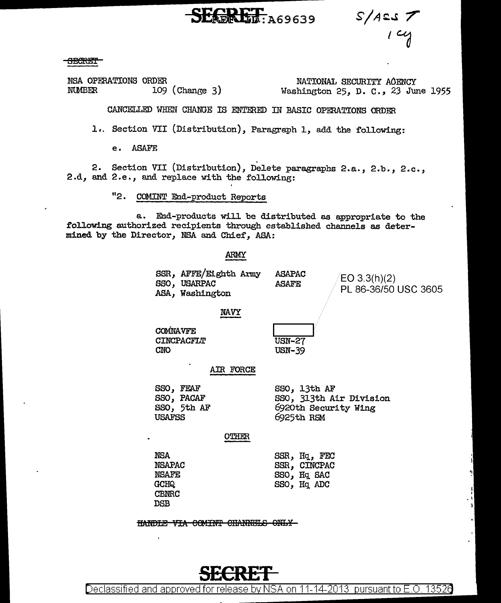**EGRET: A69639** 

 $S/AES \nightharpoondown$ 

<del>SECRET</del>

NSA OPERATIONS ORDER **NUMBER**  $109$  (Change 3)

NATIONAL SECURITY ACENCY Washington 25, D. C., 23 June 1955

CANCELLED WHEN CHANGE IS ENTERED IN BASIC OPERATIONS ORDER

1. Section VII (Distribution), Paragraph 1, add the following:

**ASAFE**  $e<sub>1</sub>$ 

Section VII (Distribution), Delete paragraphs 2.a., 2.b., 2.c.,  $2.$ 2.d, and 2.e., and replace with the following:

> "2. COMINT End-product Reports

a. End-products will be distributed as appropriate to the following authorized recipients through established channels as determined by the Director, NSA and Chief, ASA:

**ARMY** 

| SSR, AFFE/Eighth Army<br>SSO, USARPAC<br>ASA, Washington | <b>ASAPAC</b><br><b>ASAFE</b> | /EO 3.3(h)(2)<br>PL 86-36/50 USC 3605 |
|----------------------------------------------------------|-------------------------------|---------------------------------------|
| <b>NAVY</b>                                              |                               |                                       |

COMNAVFE **CINCPACFLT CNO** 

**USN-27 USN-39** 

AIR FORCE

SSO, FEAF SSO, PACAF SSO, 5th AF **USAFSS** 

OTHER

**NSA NSAPAC NSAFE** GCHQ. **CBNRC DSB** 

SSR, Hq, FEC SSR, CINCPAC SSO, Hq SAC SSO, Hq ADC

SSO, 13th AF

6925th RSM

SSO, 313th Air Division

6920th Security Wing

HANDLE VIA COMINT CHANNELS ONLY



13526 Declassified and approved for release by NSA on 11-14-2013  $\,$  pursuant to E.O.  $\,$